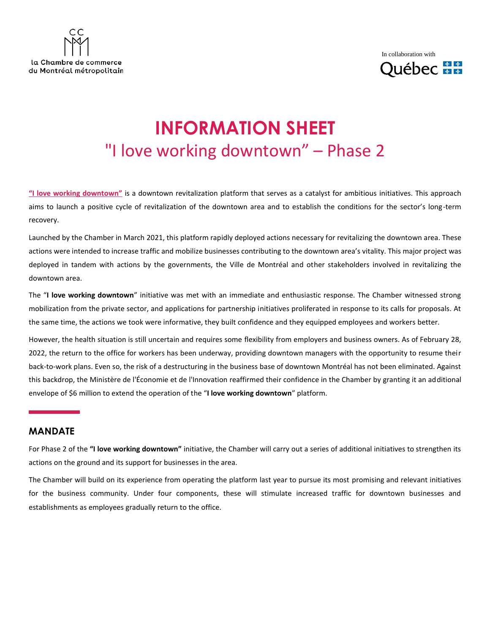



# **INFORMATION SHEET** "I love working downtown" – Phase 2

**["I love working downtown"](https://www.ccmm.ca/en/i-love-working-downtown/)** is a downtown revitalization platform that serves as a catalyst for ambitious initiatives. This approach aims to launch a positive cycle of revitalization of the downtown area and to establish the conditions for the sector's long-term recovery.

Launched by the Chamber in March 2021, this platform rapidly deployed actions necessary for revitalizing the downtown area. These actions were intended to increase traffic and mobilize businesses contributing to the downtown area's vitality. This major project was deployed in tandem with actions by the governments, the Ville de Montréal and other stakeholders involved in revitalizing the downtown area.

The "**I love working downtown**" initiative was met with an immediate and enthusiastic response. The Chamber witnessed strong mobilization from the private sector, and applications for partnership initiatives proliferated in response to its calls for proposals. At the same time, the actions we took were informative, they built confidence and they equipped employees and workers better.

However, the health situation is still uncertain and requires some flexibility from employers and business owners. As of February 28, 2022, the return to the office for workers has been underway, providing downtown managers with the opportunity to resume their back-to-work plans. Even so, the risk of a destructuring in the business base of downtown Montréal has not been eliminated. Against this backdrop, the Ministère de l'Économie et de l'Innovation reaffirmed their confidence in the Chamber by granting it an additional envelope of \$6 million to extend the operation of the "**I love working downtown**" platform.

#### **MANDATE**

For Phase 2 of the **"I love working downtown"** initiative, the Chamber will carry out a series of additional initiatives to strengthen its actions on the ground and its support for businesses in the area.

The Chamber will build on its experience from operating the platform last year to pursue its most promising and relevant initiatives for the business community. Under four components, these will stimulate increased traffic for downtown businesses and establishments as employees gradually return to the office.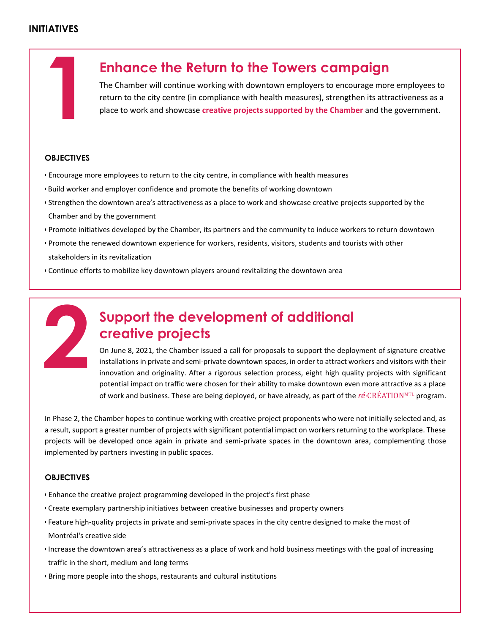#### **INITIATIVES**



place to work and showcase **[creative projects supported by the Chamber](https://www.ccmm.ca/en/i-love-working-downtown/re-creationmtl-program/)** and the government.

#### **OBJECTIVES**

- Encourage more employees to return to the city centre, in compliance with health measures
- Build worker and employer confidence and promote the benefits of working downtown
- Strengthen the downtown area's attractiveness as a place to work and showcase creative projects supported by the Chamber and by the government
- Promote initiatives developed by the Chamber, its partners and the community to induce workers to return downtown
- Promote the renewed downtown experience for workers, residents, visitors, students and tourists with other stakeholders in its revitalization
- Continue efforts to mobilize key downtown players around revitalizing the downtown area



# **Support the development of additional creative projects**

On June 8, 2021, the Chamber issued a call for proposals to support the deployment of signature creative installations in private and semi-private downtown spaces, in order to attract workers and visitors with their innovation and originality. After a rigorous selection process, eight high quality projects with significant potential impact on traffic were chosen for their ability to make downtown even more attractive as a place of work and business. These are being deployed, or have already, as part of the *ré*∙[CRÉATION](https://www.ccmm.ca/en/i-love-working-downtown/re-creationmtl-program/)M[TL](https://www.ccmm.ca/en/i-love-working-downtown/re-creationmtl-program/) program.

In Phase 2, the Chamber hopes to continue working with creative project proponents who were not initially selected and, as a result, support a greater number of projects with significant potential impact on workers returning to the workplace. These projects will be developed once again in private and semi-private spaces in the downtown area, complementing those implemented by partners investing in public spaces.

#### **OBJECTIVES**

- Enhance the creative project programming developed in the project's first phase
- Create exemplary partnership initiatives between creative businesses and property owners
- Feature high-quality projects in private and semi-private spaces in the city centre designed to make the most of Montréal's creative side
- Increase the downtown area's attractiveness as a place of work and hold business meetings with the goal of increasing traffic in the short, medium and long terms
- Bring more people into the shops, restaurants and cultural institutions